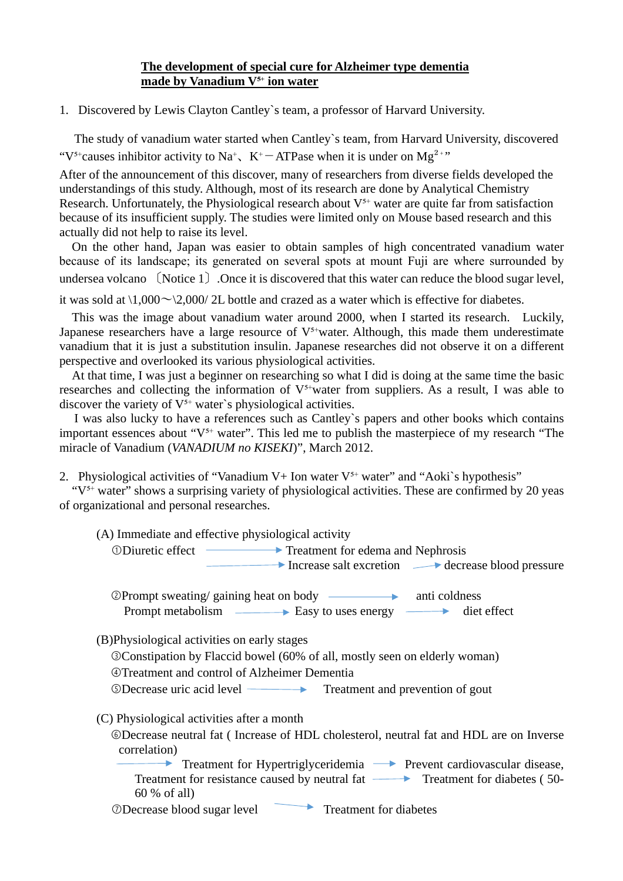## **The development of special cure for Alzheimer type dementia made by Vanadium V<sup>5+</sup> ion water**

1. Discovered by Lewis Clayton Cantley`s team, a professor of Harvard University.

The study of vanadium water started when Cantley`s team, from Harvard University, discovered "V<sup>5+</sup>causes inhibitor activity to Na<sup>+</sup>, K<sup>+</sup> − ATPase when it is under on Mg<sup>2+"</sup>

After of the announcement of this discover, many of researchers from diverse fields developed the understandings of this study. Although, most of its research are done by Analytical Chemistry Research. Unfortunately, the Physiological research about  $V^{5+}$  water are quite far from satisfaction because of its insufficient supply. The studies were limited only on Mouse based research and this actually did not help to raise its level.

On the other hand, Japan was easier to obtain samples of high concentrated vanadium water because of its landscape; its generated on several spots at mount Fuji are where surrounded by undersea volcano 〔Notice 1〕.Once it is discovered that this water can reduce the blood sugar level,

it was sold at  $\frac{1,000}{\sim}$  2,000/ 2L bottle and crazed as a water which is effective for diabetes.

This was the image about vanadium water around 2000, when I started its research. Luckily, Japanese researchers have a large resource of  $V^{5+}$ water. Although, this made them underestimate vanadium that it is just a substitution insulin. Japanese researches did not observe it on a different perspective and overlooked its various physiological activities.

At that time, I was just a beginner on researching so what I did is doing at the same time the basic researches and collecting the information of  $V^{5+}$ water from suppliers. As a result, I was able to discover the variety of  $V^{5+}$  water`s physiological activities.

I was also lucky to have a references such as Cantley`s papers and other books which contains important essences about " $V^{5+}$  water". This led me to publish the masterpiece of my research "The miracle of Vanadium (*VANADIUM no KISEKI*)", March 2012.

2. Physiological activities of "Vanadium V+ Ion water  $V^{5+}$  water" and "Aoki's hypothesis"

" $V<sup>5+</sup>$  water" shows a surprising variety of physiological activities. These are confirmed by 20 yeas of organizational and personal researches.

(A) Immediate and effective physiological activity

➀Diuretic effect Treatment for edema and Nephrosis

 $\rightarrow$  Increase salt excretion  $\rightarrow$  decrease blood pressure

©Prompt sweeping / gaining heat on body \n#11 Prompt metabolism  $\longrightarrow$  Easy to uses energy  $\longrightarrow$  diet effect

(B)Physiological activities on early stages

➂Constipation by Flaccid bowel (60% of all, mostly seen on elderly woman)

➃Treatment and control of Alzheimer Dementia

➄Decrease uric acid level Treatment and prevention of gout

(C) Physiological activities after a month

➅Decrease neutral fat ( Increase of HDL cholesterol, neutral fat and HDL are on Inverse correlation)

Treatment for Hypertriglyceridemia **Prevent cardiovascular disease**, Treatment for resistance caused by neutral fat  $\longrightarrow$  Treatment for diabetes (50-60 % of all)

➆Decrease blood sugar level Treatment for diabetes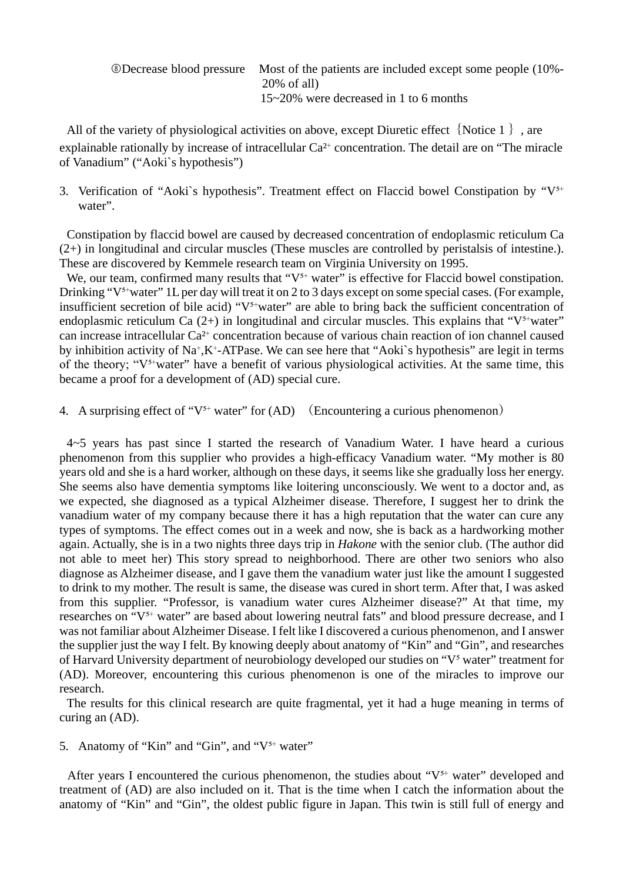➇Decrease blood pressure Most of the patients are included except some people (10%- 20% of all) 15~20% were decreased in 1 to 6 months

All of the variety of physiological activities on above, except Diuretic effect  $\{Notice 1\}$ , are explainable rationally by increase of intracellular  $Ca<sup>2+</sup>$  concentration. The detail are on "The miracle of Vanadium" ("Aoki`s hypothesis")

3. Verification of "Aoki's hypothesis". Treatment effect on Flaccid bowel Constipation by " $V^{5+}$ water".

Constipation by flaccid bowel are caused by decreased concentration of endoplasmic reticulum Ca (2+) in longitudinal and circular muscles (These muscles are controlled by peristalsis of intestine.). These are discovered by Kemmele research team on Virginia University on 1995.

We, our team, confirmed many results that " $V^{5+}$  water" is effective for Flaccid bowel constipation. Drinking " $V^{5+}$ water" 1L per day will treat it on 2 to 3 days except on some special cases. (For example, insufficient secretion of bile acid) " $V^{5+}$ water" are able to bring back the sufficient concentration of endoplasmic reticulum Ca  $(2+)$  in longitudinal and circular muscles. This explains that " $V^{\frac{1}{2}}$ "water" can increase intracellular Ca<sup>2+</sup> concentration because of various chain reaction of ion channel caused by inhibition activity of  $Na^+$ ,  $K^+$ -ATPase. We can see here that "Aoki's hypothesis" are legit in terms of the theory; "V<sup>5+</sup>water" have a benefit of various physiological activities. At the same time, this became a proof for a development of (AD) special cure.

4. A surprising effect of " $V^{5+}$  water" for (AD) (Encountering a curious phenomenon)

4~5 years has past since I started the research of Vanadium Water. I have heard a curious phenomenon from this supplier who provides a high-efficacy Vanadium water. "My mother is 80 years old and she is a hard worker, although on these days, it seems like she gradually loss her energy. She seems also have dementia symptoms like loitering unconsciously. We went to a doctor and, as we expected, she diagnosed as a typical Alzheimer disease. Therefore, I suggest her to drink the vanadium water of my company because there it has a high reputation that the water can cure any types of symptoms. The effect comes out in a week and now, she is back as a hardworking mother again. Actually, she is in a two nights three days trip in *Hakone* with the senior club. (The author did not able to meet her) This story spread to neighborhood. There are other two seniors who also diagnose as Alzheimer disease, and I gave them the vanadium water just like the amount I suggested to drink to my mother. The result is same, the disease was cured in short term. After that, I was asked from this supplier. "Professor, is vanadium water cures Alzheimer disease?" At that time, my researches on "V<sup>5+</sup> water" are based about lowering neutral fats" and blood pressure decrease, and I was not familiar about Alzheimer Disease. I felt like I discovered a curious phenomenon, and I answer the supplier just the way I felt. By knowing deeply about anatomy of "Kin" and "Gin", and researches of Harvard University department of neurobiology developed our studies on "V<sup>5</sup> water" treatment for (AD). Moreover, encountering this curious phenomenon is one of the miracles to improve our research.

The results for this clinical research are quite fragmental, yet it had a huge meaning in terms of curing an (AD).

5. Anatomy of "Kin" and "Gin", and " $V<sup>5+</sup>$  water"

After years I encountered the curious phenomenon, the studies about " $V<sup>5+</sup>$  water" developed and treatment of (AD) are also included on it. That is the time when I catch the information about the anatomy of "Kin" and "Gin", the oldest public figure in Japan. This twin is still full of energy and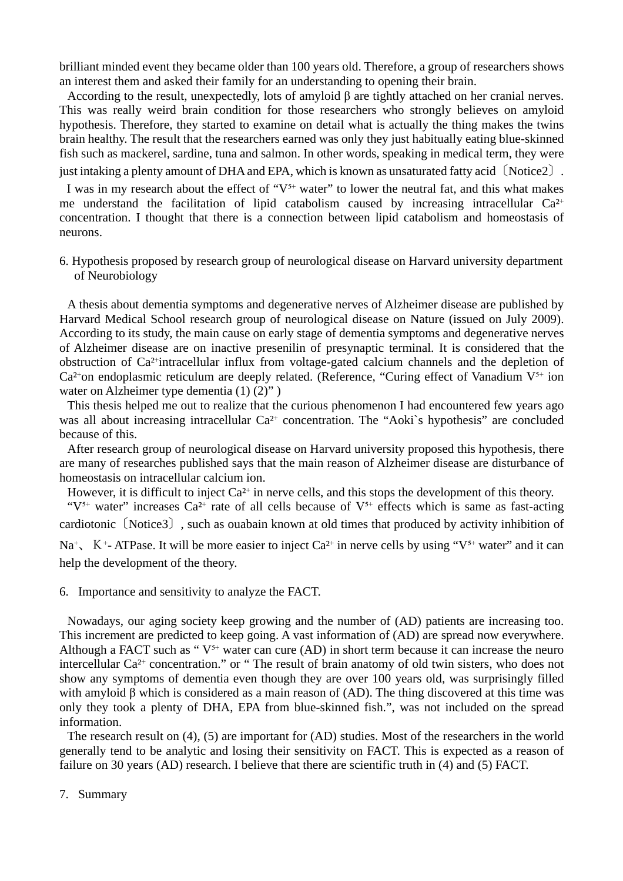brilliant minded event they became older than 100 years old. Therefore, a group of researchers shows an interest them and asked their family for an understanding to opening their brain.

According to the result, unexpectedly, lots of amyloid β are tightly attached on her cranial nerves. This was really weird brain condition for those researchers who strongly believes on amyloid hypothesis. Therefore, they started to examine on detail what is actually the thing makes the twins brain healthy. The result that the researchers earned was only they just habitually eating blue-skinned fish such as mackerel, sardine, tuna and salmon. In other words, speaking in medical term, they were just intaking a plenty amount of DHA and EPA, which is known as unsaturated fatty acid 〔Notice2〕.

I was in my research about the effect of " $V<sup>5+</sup>$  water" to lower the neutral fat, and this what makes me understand the facilitation of lipid catabolism caused by increasing intracellular  $Ca^{2+}$ concentration. I thought that there is a connection between lipid catabolism and homeostasis of neurons.

6. Hypothesis proposed by research group of neurological disease on Harvard university department of Neurobiology

A thesis about dementia symptoms and degenerative nerves of Alzheimer disease are published by Harvard Medical School research group of neurological disease on Nature (issued on July 2009). According to its study, the main cause on early stage of dementia symptoms and degenerative nerves of Alzheimer disease are on inactive presenilin of presynaptic terminal. It is considered that the obstruction of Ca<sup>2+</sup>intracellular influx from voltage-gated calcium channels and the depletion of  $Ca<sup>2+</sup>$ on endoplasmic reticulum are deeply related. (Reference, "Curing effect of Vanadium V<sup>5+</sup> ion water on Alzheimer type dementia (1) (2)")

This thesis helped me out to realize that the curious phenomenon I had encountered few years ago was all about increasing intracellular  $Ca^{2+}$  concentration. The "Aoki's hypothesis" are concluded because of this.

After research group of neurological disease on Harvard university proposed this hypothesis, there are many of researches published says that the main reason of Alzheimer disease are disturbance of homeostasis on intracellular calcium ion.

However, it is difficult to inject  $Ca^{2+}$  in nerve cells, and this stops the development of this theory.

" $V^{5+}$  water" increases Ca<sup>2+</sup> rate of all cells because of  $V^{5+}$  effects which is same as fast-acting cardiotonic〔Notice3〕, such as ouabain known at old times that produced by activity inhibition of  $Na<sup>+</sup>$ , K<sup>+</sup>- ATPase. It will be more easier to inject Ca<sup>2+</sup> in nerve cells by using "V<sup>5+</sup> water" and it can help the development of the theory.

6. Importance and sensitivity to analyze the FACT.

Nowadays, our aging society keep growing and the number of (AD) patients are increasing too. This increment are predicted to keep going. A vast information of (AD) are spread now everywhere. Although a FACT such as " $V^{5+}$  water can cure (AD) in short term because it can increase the neuro intercellular Ca<sup>2+</sup> concentration." or " The result of brain anatomy of old twin sisters, who does not show any symptoms of dementia even though they are over 100 years old, was surprisingly filled with amyloid β which is considered as a main reason of (AD). The thing discovered at this time was only they took a plenty of DHA, EPA from blue-skinned fish.", was not included on the spread information.

The research result on (4), (5) are important for (AD) studies. Most of the researchers in the world generally tend to be analytic and losing their sensitivity on FACT. This is expected as a reason of failure on 30 years (AD) research. I believe that there are scientific truth in (4) and (5) FACT.

7. Summary